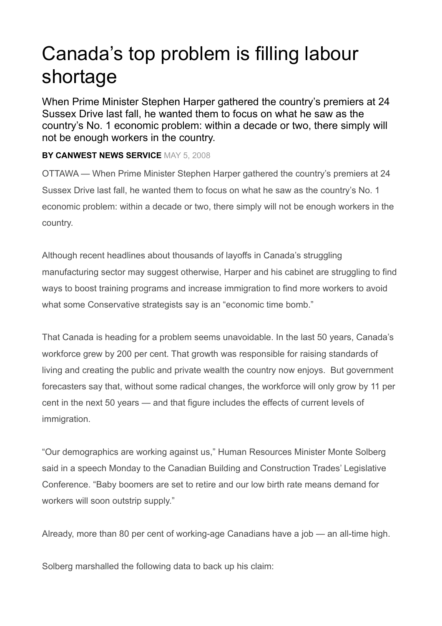## Canada's top problem is filling labour shortage

When Prime Minister Stephen Harper gathered the country's premiers at 24 Sussex Drive last fall, he wanted them to focus on what he saw as the country's No. 1 economic problem: within a decade or two, there simply will not be enough workers in the country.

## **BY CANWEST NEWS SERVICE** MAY 5, 2008

OTTAWA — When Prime Minister Stephen Harper gathered the country's premiers at 24 Sussex Drive last fall, he wanted them to focus on what he saw as the country's No. 1 economic problem: within a decade or two, there simply will not be enough workers in the country.

Although recent headlines about thousands of layoffs in Canada's struggling manufacturing sector may suggest otherwise, Harper and his cabinet are struggling to find ways to boost training programs and increase immigration to find more workers to avoid what some Conservative strategists say is an "economic time bomb."

That Canada is heading for a problem seems unavoidable. In the last 50 years, Canada's workforce grew by 200 per cent. That growth was responsible for raising standards of living and creating the public and private wealth the country now enjoys. But government forecasters say that, without some radical changes, the workforce will only grow by 11 per cent in the next 50 years — and that figure includes the effects of current levels of immigration.

"Our demographics are working against us," Human Resources Minister Monte Solberg said in a speech Monday to the Canadian Building and Construction Trades' Legislative Conference. "Baby boomers are set to retire and our low birth rate means demand for workers will soon outstrip supply."

Already, more than 80 per cent of working-age Canadians have a job — an all-time high.

Solberg marshalled the following data to back up his claim: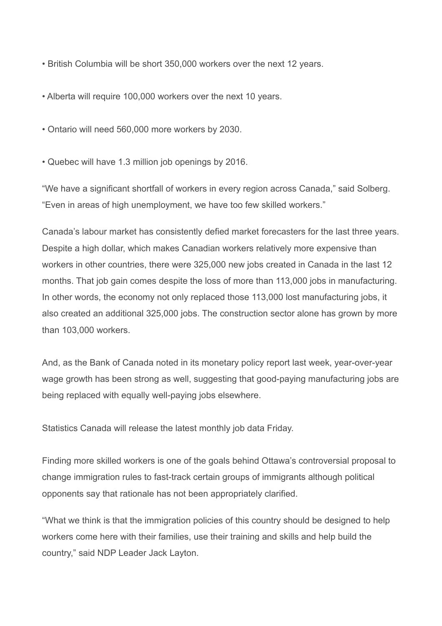- British Columbia will be short 350,000 workers over the next 12 years.
- Alberta will require 100,000 workers over the next 10 years.
- Ontario will need 560,000 more workers by 2030.
- Quebec will have 1.3 million job openings by 2016.

"We have a significant shortfall of workers in every region across Canada," said Solberg. "Even in areas of high unemployment, we have too few skilled workers."

Canada's labour market has consistently defied market forecasters for the last three years. Despite a high dollar, which makes Canadian workers relatively more expensive than workers in other countries, there were 325,000 new jobs created in Canada in the last 12 months. That job gain comes despite the loss of more than 113,000 jobs in manufacturing. In other words, the economy not only replaced those 113,000 lost manufacturing jobs, it also created an additional 325,000 jobs. The construction sector alone has grown by more than 103,000 workers.

And, as the Bank of Canada noted in its monetary policy report last week, year-over-year wage growth has been strong as well, suggesting that good-paying manufacturing jobs are being replaced with equally well-paying jobs elsewhere.

Statistics Canada will release the latest monthly job data Friday.

Finding more skilled workers is one of the goals behind Ottawa's controversial proposal to change immigration rules to fast-track certain groups of immigrants although political opponents say that rationale has not been appropriately clarified.

"What we think is that the immigration policies of this country should be designed to help workers come here with their families, use their training and skills and help build the country," said NDP Leader Jack Layton.